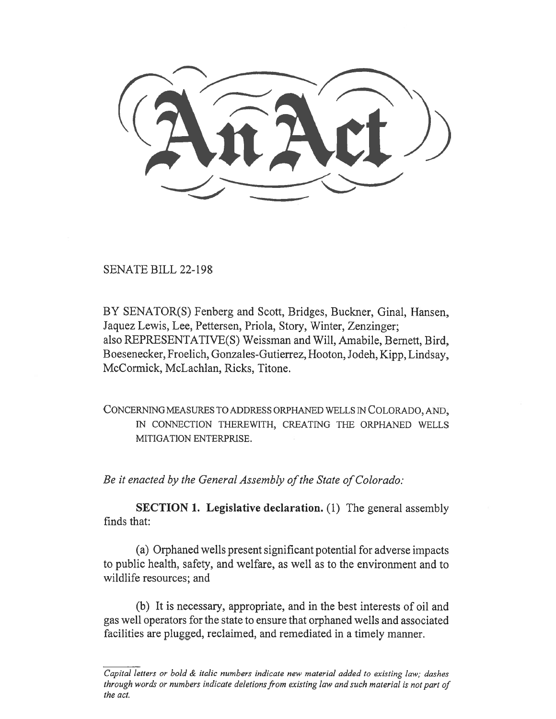SENATE BILL 22-198

BY SENATOR(S) Fenberg and Scott, Bridges, Buckner, Ginal, Hansen, Jaquez Lewis, Lee, Pettersen, Priola, Story, Winter, Zenzinger; also REPRESENTATIVE(S) Weissman and Will, Amabile, Bernett, Bird, Boesenecker, Froelich, Gonzales-Gutierrez, Hooton, Jodeh, Kipp, Lindsay, McCormick, McLachlan, Ricks, Titone.

CONCERNING MEASURES TO ADDRESS ORPHANED WELLS IN COLORADO, AND, IN CONNECTION THEREWITH, CREATING THE ORPHANED WELLS MITIGATION ENTERPRISE.

Be it enacted by the General Assembly of the State of Colorado:

SECTION 1. Legislative declaration. (1) The general assembly finds that:

(a) Orphaned wells present significant potential for adverse impacts to public health, safety, and welfare, as well as to the environment and to wildlife resources; and

(b) It is necessary, appropriate, and in the best interests of oil and gas well operators for the state to ensure that orphaned wells and associated facilities are plugged, reclaimed, and remediated in a timely manner.

 $\overline{Capital}$  letters or bold  $\&$  italic numbers indicate new material added to existing law; dashes through words or numbers indicate deletions from existing law and such material is not part of the act.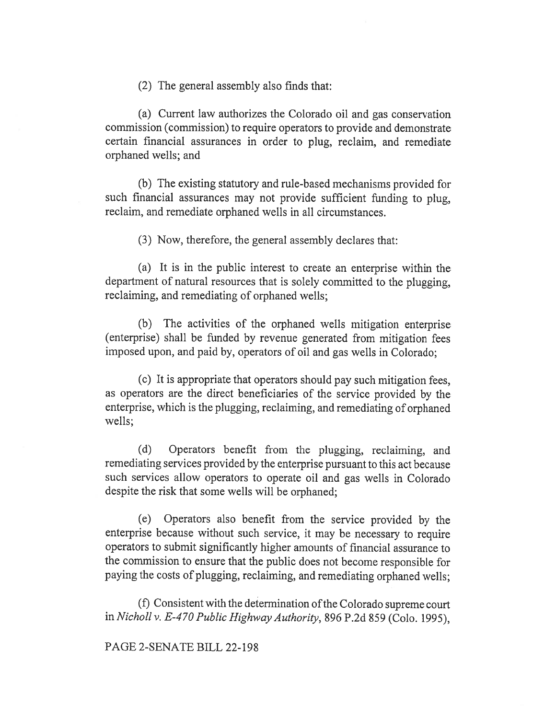(2) The general assembly also finds that:

(a) Current law authorizes the Colorado oil and gas conservation commission (commission) to require operators to provide and demonstrate certain financial assurances in order to plug, reclaim, and remediate orphaned wells; and

(b) The existing statutory and rule-based mechanisms provided for such financial assurances may not provide sufficient funding to plug, reclaim, and remediate orphaned wells in all circumstances.

(3) Now, therefore, the general assembly declares that:

(a) It is in the public interest to create an enterprise within the department of natural resources that is solely committed to the plugging, reclaiming, and remediating of orphaned wells;

(b) The activities of the orphaned wells mitigation enterprise (enterprise) shall be funded by revenue generated from mitigation fees imposed upon, and paid by, operators of oil and gas wells in Colorado;

(c) It is appropriate that operators should pay such mitigation fees, as operators are the direct beneficiaries of the service provided by the enterprise, which is the plugging, reclaiming, and remediating of orphaned wells;

(d) Operators benefit from the plugging, reclaiming, and remediating services provided by the enterprise pursuant to this act because such services allow operators to operate oil and gas wells in Colorado despite the risk that some wells will be orphaned;

(e) Operators also benefit from the service provided by the enterprise because without such service, it may be necessary to require operators to submit significantly higher amounts of financial assurance to the commission to ensure that the public does not become responsible for paying the costs of plugging, reclaiming, and remediating orphaned wells;

(f) Consistent with the determination of the Colorado supreme court in Nicholl v. E-470 Public Highway Authority, 896 P.2d 859 (Colo. 1995),

## PAGE 2-SENATE BILL 22-198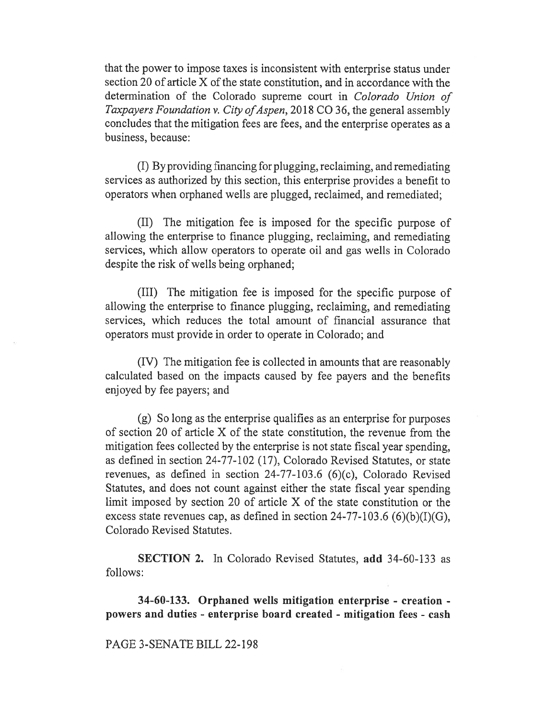that the power to impose taxes is inconsistent with enterprise status under section 20 of article X of the state constitution, and in accordance with the determination of the Colorado supreme court in Colorado Union of Taxpayers Foundation v. City of Aspen, 2018 CO 36, the general assembly concludes that the mitigation fees are fees, and the enterprise operates as a business, because:

(I) By providing financing for plugging, reclaiming, and remediating services as authorized by this section, this enterprise provides a benefit to operators when orphaned wells are plugged, reclaimed, and remediated;

(II) The mitigation fee is imposed for the specific purpose of allowing the enterprise to finance plugging, reclaiming, and remediating services, which allow operators to operate oil and gas wells in Colorado despite the risk of wells being orphaned;

(III) The mitigation fee is imposed for the specific purpose of allowing the enterprise to finance plugging, reclaiming, and remediating services, which reduces the total amount of financial assurance that operators must provide in order to operate in Colorado; and

(IV) The mitigation fee is collected in amounts that are reasonably calculated based on the impacts caused by fee payers and the benefits enjoyed by fee payers; and

(g) So long as the enterprise qualifies as an enterprise for purposes of section 20 of article X of the state constitution, the revenue from the mitigation fees collected by the enterprise is not state fiscal year spending, as defined in section 24-77-102 (17), Colorado Revised Statutes, or state revenues, as defined in section 24-77-103.6 (6)(c), Colorado Revised Statutes, and does not count against either the state fiscal year spending limit imposed by section 20 of article X of the state constitution or the excess state revenues cap, as defined in section  $24-77-103.6$  (6)(b)(I)(G), Colorado Revised Statutes.

SECTION 2. In Colorado Revised Statutes, add 34-60-133 as follows:

34-60-133. Orphaned wells mitigation enterprise - creation powers and duties - enterprise board created - mitigation fees - cash

## PAGE 3-SENATE BILL 22-198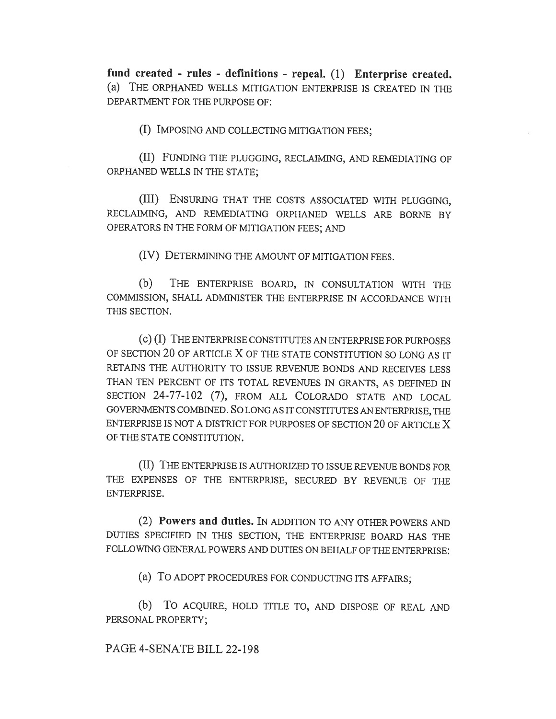fund created - rules - definitions - repeal. (1) Enterprise created. (a) THE ORPHANED WELLS MITIGATION ENTERPRISE IS CREATED IN THE DEPARTMENT FOR THE PURPOSE OF:

(I) IMPOSING AND COLLECTING MITIGATION FEES;

(II) FUNDING THE PLUGGING, RECLAIMING, AND REMEDIATING OF ORPHANED WELLS IN THE STATE;

(III) ENSURING THAT THE COSTS ASSOCIATED WITH PLUGGING, RECLAIMING, AND REMEDIATING ORPHANED WELLS ARE BORNE BY OPERATORS IN THE FORM OF MITIGATION FEES; AND

(IV) DETERMINING THE AMOUNT OF MITIGATION FEES.

(b) THE ENTERPRISE BOARD, IN CONSULTATION WITH THE COMMISSION, SHALL ADMINISTER THE ENTERPRISE IN ACCORDANCE WITH THIS SECTION.

(c) (I) THE ENTERPRISE CONSTITUTES AN ENTERPRISE FOR PURPOSES OF SECTION 20 OF ARTICLE X OF THE STATE CONSTITUTION SO LONG AS IT RETAINS THE AUTHORITY TO ISSUE REVENUE BONDS AND RECEIVES LESS THAN TEN PERCENT OF ITS TOTAL REVENUES IN GRANTS, AS DEFINED IN SECTION 24-77-102 (7), FROM ALL COLORADO STATE AND LOCAL GOVERNMENTS COMBINED. SO LONG AS IT CONSTITUTES AN ENTERPRISE, THE ENTERPRISE IS NOT A DISTRICT FOR PURPOSES OF SECTION 20 OF ARTICLE X OF THE STATE CONSTITUTION.

(II) THE ENTERPRISE IS AUTHORIZED TO ISSUE REVENUE BONDS FOR THE EXPENSES OF THE ENTERPRISE, SECURED BY REVENUE OF THE ENTERPRISE.

(2) Powers and duties. IN ADDITION TO ANY OTHER POWERS AND DUTIES SPECIFIED IN THIS SECTION, THE ENTERPRISE BOARD HAS THE FOLLOWING GENERAL POWERS AND DUTIES ON BEHALF OF THE ENTERPRISE:

(a) To ADOPT PROCEDURES FOR CONDUCTING ITS AFFAIRS;

(b) To ACQUIRE, HOLD TITLE TO, AND DISPOSE OF REAL AND PERSONAL PROPERTY;

## PAGE 4-SENATE BILL 22-198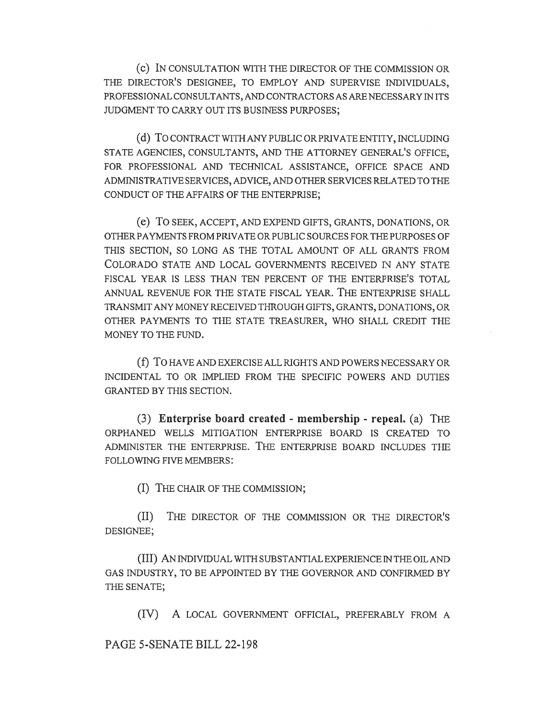(c) IN CONSULTATION WITH THE DIRECTOR OF THE COMMISSION OR THE DIRECTOR'S DESIGNEE, TO EMPLOY AND SUPERVISE INDIVIDUALS, PROFESSIONAL CONSULTANTS, AND CONTRACTORS AS ARE NECESSARY IN ITS JUDGMENT TO CARRY OUT ITS BUSINESS PURPOSES;

(d) To CONTRACT WITH ANY PUBLIC OR PRIVATE ENTITY, INCLUDING STATE AGENCIES, CONSULTANTS, AND THE ATTORNEY GENERAL'S OFFICE, FOR PROFESSIONAL AND TECHNICAL ASSISTANCE, OFFICE SPACE AND ADMINISTRATIVE SERVICES, ADVICE, AND OTHER SERVICES RELATED TO THE CONDUCT OF THE AFFAIRS OF THE ENTERPRISE;

(e) To SEEK, ACCEPT, AND EXPEND GIFTS, GRANTS, DONATIONS, OR OTHER PAYMENTS FROM PRIVATE OR PUBLIC SOURCES FOR THE PURPOSES OF THIS SECTION, SO LONG AS THE TOTAL AMOUNT OF ALL GRANTS FROM COLORADO STATE AND LOCAL GOVERNMENTS RECEIVED IN ANY STATE FISCAL YEAR IS LESS THAN TEN PERCENT OF THE ENTERPRISE'S TOTAL ANNUAL REVENUE FOR THE STATE FISCAL YEAR. THE ENTERPRISE SHALL TRANSMIT ANY MONEY RECEIVED THROUGH GIFTS, GRANTS, DONATIONS, OR OTHER PAYMENTS TO THE STATE TREASURER, WHO SHALL CREDIT THE MONEY TO THE FUND.

(f) To HAVE AND EXERCISE ALL RIGHTS AND POWERS NECESSARY OR INCIDENTAL TO OR IMPLIED FROM THE SPECIFIC POWERS AND DUTIES GRANTED BY THIS SECTION.

(3) Enterprise board created - membership - repeal. (a) THE ORPHANED WELLS MITIGATION ENTERPRISE BOARD IS CREATED TO ADMINISTER THE ENTERPRISE. THE ENTERPRISE BOARD INCLUDES THE FOLLOWING FIVE MEMBERS:

(I) THE CHAIR OF THE COMMISSION;

(II) THE DIRECTOR OF THE COMMISSION OR THE DIRECTOR'S DESIGNEE;

(III) AN INDIVIDUAL WITH SUBSTANTIAL EXPERIENCE IN THE OIL AND GAS INDUSTRY, TO BE APPOINTED BY THE GOVERNOR AND CONFIRMED BY THE SENATE;

(IV) A LOCAL GOVERNMENT OFFICIAL, PREFERABLY FROM A

PAGE 5-SENATE BILL 22-198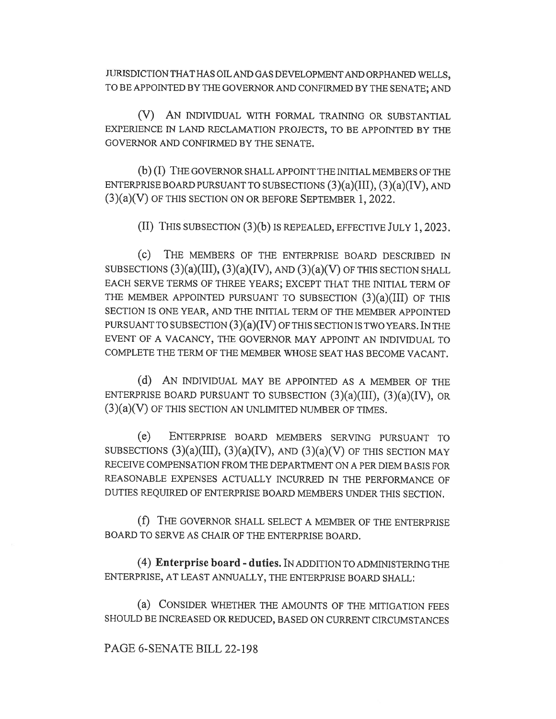JURISDICTION THAT HAS OIL AND GAS DEVELOPMENT AND ORPHANED WELLS, TO BE APPOINTED BY THE GOVERNOR AND CONFIRMED BY THE SENATE; AND

(V) AN INDIVIDUAL WITH FORMAL TRAINING OR SUBSTANTIAL EXPERIENCE IN LAND RECLAMATION PROJECTS, TO BE APPOINTED BY THE GOVERNOR AND CONFIRMED BY THE SENATE.

(b) (I) THE GOVERNOR SHALL APPOINT THE INITIAL MEMBERS OF THE ENTERPRISE BOARD PURSUANT TO SUBSECTIONS (3)(a)(III), (3)(a)(IV), AND (3)(a)(V) OF THIS SECTION ON OR BEFORE SEPTEMBER 1, 2022.

(II) THIS SUBSECTION (3)(b) IS REPEALED, EFFECTIVE JULY 1, 2023.

(c) THE MEMBERS OF THE ENTERPRISE BOARD DESCRIBED IN SUBSECTIONS  $(3)(a)(III)$ ,  $(3)(a)(IV)$ , AND  $(3)(a)(V)$  OF THIS SECTION SHALL EACH SERVE TERMS OF THREE YEARS; EXCEPT THAT THE INITIAL TERM OF THE MEMBER APPOINTED PURSUANT TO SUBSECTION  $(3)(a)(III)$  OF THIS SECTION IS ONE YEAR, AND THE INITIAL TERM OF THE MEMBER APPOINTED PURSUANT TO SUBSECTION  $(3)(a)(IV)$  OF THIS SECTION IS TWO YEARS. IN THE EVENT OF A VACANCY, THE GOVERNOR MAY APPOINT AN INDIVIDUAL TO COMPLETE THE TERM OF THE MEMBER WHOSE SEAT HAS BECOME VACANT.

(d) AN INDIVIDUAL MAY BE APPOINTED AS A MEMBER OF THE ENTERPRISE BOARD PURSUANT TO SUBSECTION (3)(a)(III), (3)(a)(IV), OR  $(3)(a)(V)$  OF THIS SECTION AN UNLIMITED NUMBER OF TIMES.

(e) ENTERPRISE BOARD MEMBERS SERVING PURSUANT TO SUBSECTIONS  $(3)(a)(III)$ ,  $(3)(a)(IV)$ , AND  $(3)(a)(V)$  OF THIS SECTION MAY RECEIVE COMPENSATION FROM THE DEPARTMENT ON A PER DIEM BASIS FOR REASONABLE EXPENSES ACTUALLY INCURRED IN THE PERFORMANCE OF DUTIES REQUIRED OF ENTERPRISE BOARD MEMBERS UNDER THIS SECTION.

(f) THE GOVERNOR SHALL SELECT A MEMBER OF THE ENTERPRISE BOARD TO SERVE AS CHAIR OF THE ENTERPRISE BOARD.

(4) Enterprise board - duties. IN ADDITION TO ADMINISTERING THE ENTERPRISE, AT LEAST ANNUALLY, THE ENTERPRISE BOARD SHALL:

(a) CONSIDER WHETHER THE AMOUNTS OF THE MITIGATION FEES SHOULD BE INCREASED OR REDUCED, BASED ON CURRENT CIRCUMSTANCES

## PAGE 6-SENATE BILL 22-198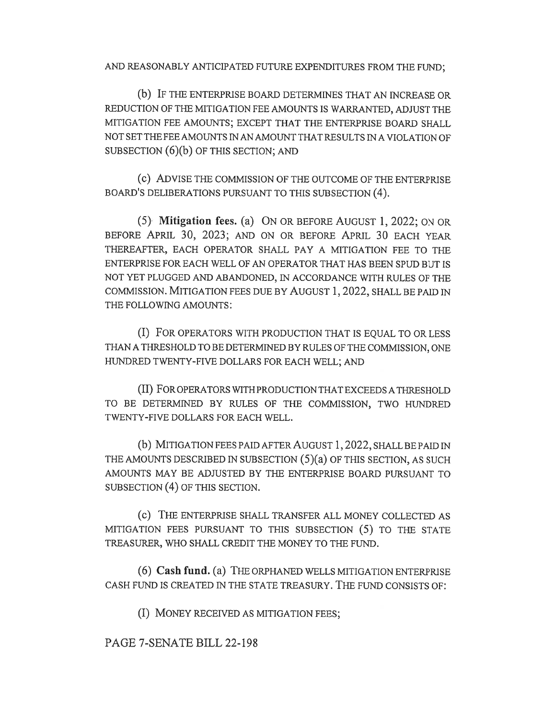AND REASONABLY ANTICIPATED FUTURE EXPENDITURES FROM THE FUND;

(b) IF THE ENTERPRISE BOARD DETERMINES THAT AN INCREASE OR REDUCTION OF THE MITIGATION FEE AMOUNTS IS WARRANTED, ADJUST THE MITIGATION FEE AMOUNTS; EXCEPT THAT THE ENTERPRISE BOARD SHALL NOT SET THE FEE AMOUNTS IN AN AMOUNT THAT RESULTS IN A VIOLATION OF SUBSECTION (6)(b) OF THIS SECTION; AND

(c) ADVISE THE COMMISSION OF THE OUTCOME OF THE ENTERPRISE BOARD'S DELIBERATIONS PURSUANT TO THIS SUBSECTION (4).

(5) Mitigation fees. (a) ON OR BEFORE AUGUST 1, 2022; ON OR BEFORE APRIL 30, 2023; AND ON OR BEFORE APRIL 30 EACH YEAR THEREAFTER, EACH OPERATOR SHALL PAY A MITIGATION FEE TO THE ENTERPRISE FOR EACH WELL OF AN OPERATOR THAT HAS BEEN SPUD BUT IS NOT YET PLUGGED AND ABANDONED, IN ACCORDANCE WITH RULES OF THE COMMISSION. MITIGATION FEES DUE BY AUGUST 1, 2022, SHALL BE PAID IN THE FOLLOWING AMOUNTS:

(I) FOR OPERATORS WITH PRODUCTION THAT IS EQUAL TO OR LESS THAN A THRESHOLD TO BE DETERMINED BY RULES OF THE COMMISSION, ONE HUNDRED TWENTY-FIVE DOLLARS FOR EACH WELL; AND

(II) FOR OPERATORS WITH PRODUCTION THAT EXCEEDS A THRESHOLD TO BE DETERMINED BY RULES OF THE COMMISSION, TWO HUNDRED TWENTY-FIVE DOLLARS FOR EACH WELL.

(b) MITIGATION FEES PAID AFTER AUGUST 1, 2022, SHALL BE PAID IN THE AMOUNTS DESCRIBED IN SUBSECTION  $(5)(a)$  OF THIS SECTION, AS SUCH AMOUNTS MAY BE ADJUSTED BY THE ENTERPRISE BOARD PURSUANT TO SUBSECTION (4) OF THIS SECTION.

(c) THE ENTERPRISE SHALL TRANSFER ALL MONEY COLLECTED AS MITIGATION FEES PURSUANT TO THIS SUBSECTION (5) TO THE STATE TREASURER, WHO SHALL CREDIT THE MONEY TO THE FUND.

(6) Cash fund. (a) THE ORPHANED WELLS MITIGATION ENTERPRISE CASH FUND IS CREATED IN THE STATE TREASURY. THE FUND CONSISTS OF:

(I) MONEY RECEIVED AS MITIGATION FEES;

PAGE 7-SENATE BILL 22-198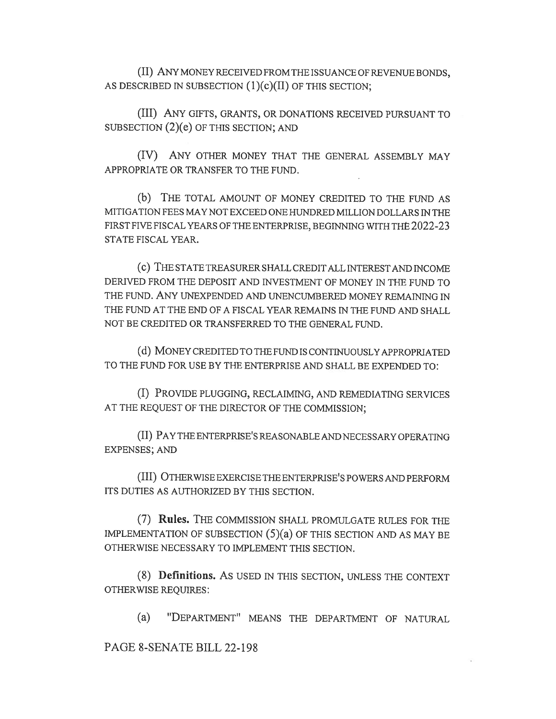(II) ANY MONEY RECEIVED FROM THE ISSUANCE OF REVENUE BONDS, AS DESCRIBED IN SUBSECTION (1)(c)(II) OF THIS SECTION;

(III) ANY GIFTS, GRANTS, OR DONATIONS RECEIVED PURSUANT TO SUBSECTION (2)(e) OF THIS SECTION; AND

(IV) ANY OTHER MONEY THAT THE GENERAL ASSEMBLY MAY APPROPRIATE OR TRANSFER TO THE FUND.

(b) THE TOTAL AMOUNT OF MONEY CREDITED TO THE FUND AS MITIGATION FEES MAY NOT EXCEED ONE HUNDRED MILLION DOLLARS IN THE FIRST FIVE FISCAL YEARS OF THE ENTERPRISE, BEGINNING WITH THE 2022-23 STATE FISCAL YEAR.

(C) THE STATE TREASURER SHALL CREDIT ALL INTEREST AND INCOME DERIVED FROM THE DEPOSIT AND INVESTMENT OF MONEY IN THE FUND TO THE FUND. ANY UNEXPENDED AND UNENCUMBERED MONEY REMAINING IN THE FUND AT THE END OF A FISCAL YEAR REMAINS IN THE FUND AND SHALL NOT BE CREDITED OR TRANSFERRED TO THE GENERAL FUND.

(d) MONEY CREDITED TO THE FUND IS CONTINUOUSLY APPROPRIATED TO THE FUND FOR USE BY THE ENTERPRISE AND SHALL BE EXPENDED TO:

(I) PROVIDE PLUGGING, RECLAIMING, AND REMEDIATING SERVICES AT THE REQUEST OF THE DIRECTOR OF THE COMMISSION;

(II) PAY THE ENTERPRISE'S REASONABLE AND NECESSARY OPERATING EXPENSES; AND

(III) OTHERWISE EXERCISE THE ENTERPRISE'S POWERS AND PERFORM ITS DUTIES AS AUTHORIZED BY THIS SECTION.

(7) Rules. THE COMMISSION SHALL PROMULGATE RULES FOR THE IMPLEMENTATION OF SUBSECTION  $(5)(a)$  OF THIS SECTION AND AS MAY BE OTHERWISE NECESSARY TO IMPLEMENT THIS SECTION.

(8) Definitions. AS USED IN THIS SECTION, UNLESS THE CONTEXT OTHERWISE REQUIRES:

(a) "DEPARTMENT" MEANS THE DEPARTMENT OF NATURAL

PAGE 8-SENATE BILL 22-198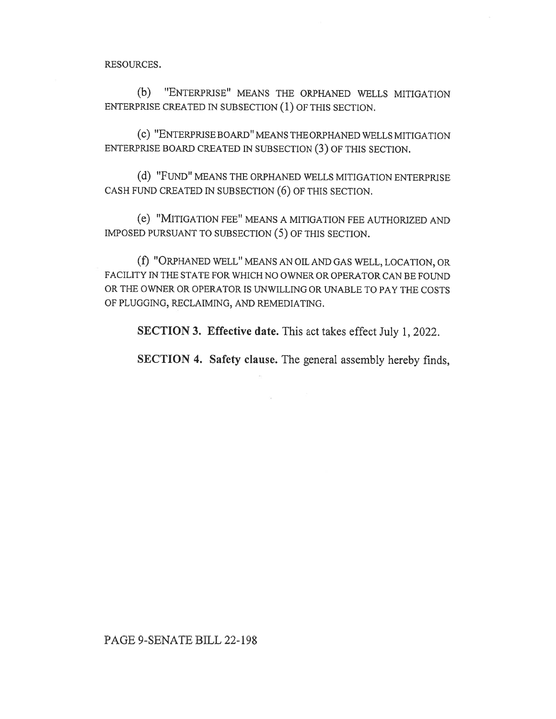RESOURCES.

(b) "ENTERPRISE" MEANS THE ORPHANED WELLS MITIGATION ENTERPRISE CREATED IN SUBSECTION (1) OF THIS SECTION.

(C) "ENTERPRISE BOARD" MEANS THE ORPHANED WELLS MITIGATION ENTERPRISE BOARD CREATED IN SUBSECTION (3) OF THIS SECTION.

(d) "FUND" MEANS THE ORPHANED WELLS MITIGATION ENTERPRISE CASH FUND CREATED IN SUBSECTION (6) OF THIS SECTION.

(e) "MITIGATION FEE" MEANS A MITIGATION FEE AUTHORIZED AND IMPOSED PURSUANT TO SUBSECTION (5) OF THIS SECTION.

(f) "ORPHANED WELL" MEANS AN OIL AND GAS WELL, LOCATION, OR FACILITY IN THE STATE FOR WHICH NO OWNER OR OPERATOR CAN BE FOUND OR THE OWNER OR OPERATOR IS UNWILLING OR UNABLE TO PAY THE COSTS OF PLUGGING, RECLAIMING, AND REMEDIATING.

SECTION 3. Effective date. This act takes effect July 1, 2022.

SECTION 4. Safety clause. The general assembly hereby finds,

PAGE 9-SENATE BILL 22-198